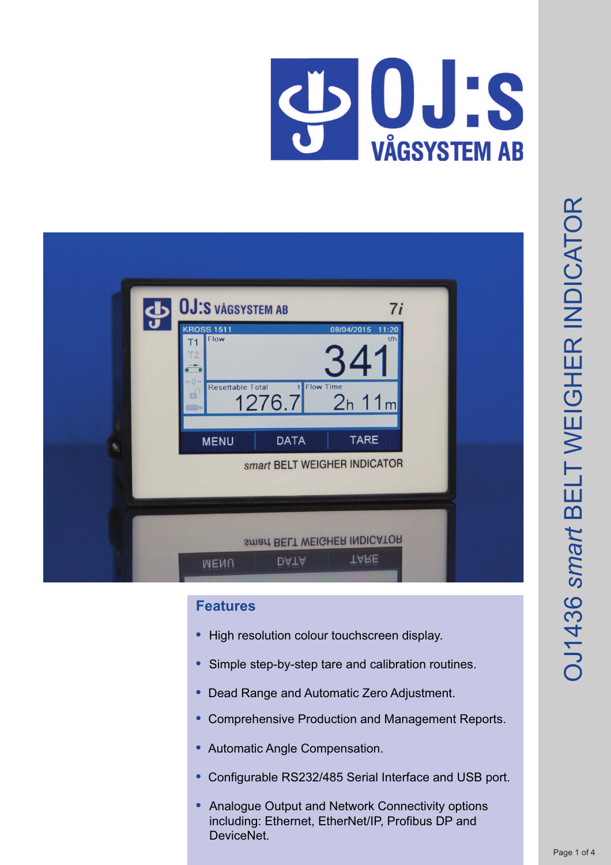

| OJ:S VÅGSYSTEM AB<br>7i<br><b>KROSS 1511</b><br>08/04/2015<br>11:20<br>Flow<br>t/h<br>Τ1<br>341<br><b>Flow Time</b><br><b>Resettable Total</b><br>юİ<br>2h 11m<br>1276.7<br><b>TARE</b><br><b>DATA</b><br><b>MENU</b><br>smart BELT WEIGHER INDICATOR |  |
|-------------------------------------------------------------------------------------------------------------------------------------------------------------------------------------------------------------------------------------------------------|--|
| smart BELT WEIGHER INDICATOR<br>TARE<br><b>DATA</b><br><b>MENU</b>                                                                                                                                                                                    |  |

# **Features**

- High resolution colour touchscreen display.
- Simple step-by-step tare and calibration routines.
- **•** Dead Range and Automatic Zero Adjustment.
- **•** Comprehensive Production and Management Reports.
- **•** Automatic Angle Compensation.
- **•** Configurable RS232/485 Serial Interface and USB port.
- **•** Analogue Output and Network Connectivity options including: Ethernet, EtherNet/IP, Profibus DP and DeviceNet.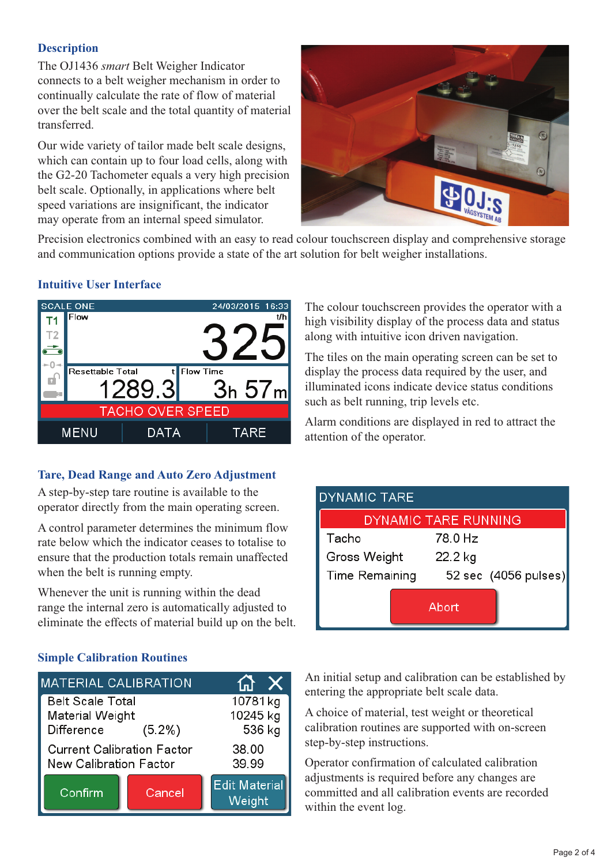# **Description**

The OJ1436 *smart* Belt Weigher Indicator connects to a belt weigher mechanism in order to continually calculate the rate of flow of material over the belt scale and the total quantity of material transferred.

Our wide variety of tailor made belt scale designs, which can contain up to four load cells, along with the G2-20 Tachometer equals a very high precision belt scale. Optionally, in applications where belt speed variations are insignificant, the indicator may operate from an internal speed simulator.



Precision electronics combined with an easy to read colour touchscreen display and comprehensive storage and communication options provide a state of the art solution for belt weigher installations.

# **Intuitive User Interface**



# **Tare, Dead Range and Auto Zero Adjustment**

A step-by-step tare routine is available to the operator directly from the main operating screen.

A control parameter determines the minimum flow rate below which the indicator ceases to totalise to ensure that the production totals remain unaffected when the belt is running empty.

Whenever the unit is running within the dead range the internal zero is automatically adjusted to eliminate the effects of material build up on the belt.

# **Simple Calibration Routines**

| <b>MATERIAL CALIBRATION</b>                                                                   | X      |                                |
|-----------------------------------------------------------------------------------------------|--------|--------------------------------|
| <b>Belt Scale Total</b><br>Material Weight                                                    |        | 10781kg<br>10245 kg<br>536 kg  |
| Difference<br>$(5.2\%)$<br><b>Current Calibration Factor</b><br><b>New Calibration Factor</b> |        | 38.00<br>39.99                 |
| Confirm                                                                                       | Cancel | <b>Edit Material</b><br>Weight |

The colour touchscreen provides the operator with a high visibility display of the process data and status along with intuitive icon driven navigation.

The tiles on the main operating screen can be set to display the process data required by the user, and illuminated icons indicate device status conditions such as belt running, trip levels etc.

Alarm conditions are displayed in red to attract the attention of the operator.

| <b>DYNAMIC TARE</b> |                      |
|---------------------|----------------------|
|                     | DYNAMIC TARE RUNNING |
| Tacho               | 78.0 Hz              |
| Gross Weight        | 22.2 kg              |
| Time Remaining      | 52 sec (4056 pulses) |
|                     | Abort                |

An initial setup and calibration can be established by entering the appropriate belt scale data.

A choice of material, test weight or theoretical calibration routines are supported with on-screen step-by-step instructions.

Operator confirmation of calculated calibration adjustments is required before any changes are committed and all calibration events are recorded within the event log.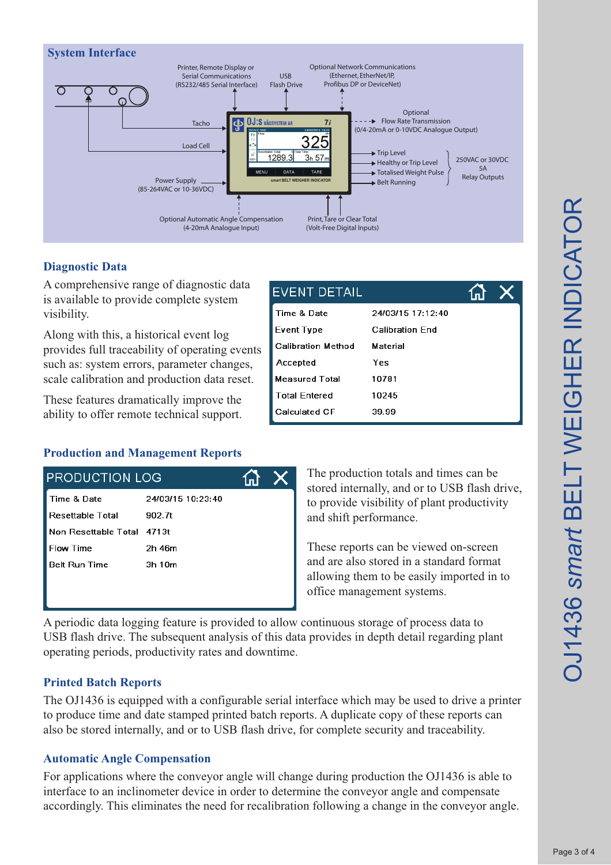

**EVENT DETAIL** 

Time & Date

**Event Type** 

# **Diagnostic Data**

A comprehensive range of diagnostic data is available to provide complete system visibility.

Along with this, a historical event log provides full traceability of operating events such as: system errors, parameter changes, scale calibration and production data reset.

These features dramatically improve the ability to offer remote technical support.

## **Production and Management Reports**

| <b>PRODUCTION LOG</b>      |                   |  |
|----------------------------|-------------------|--|
| Time & Date                | 24/03/15 10:23:40 |  |
| Resettable Total           | 902.7t            |  |
| Non Resettable Total 4713t |                   |  |
| <b>Flow Time</b>           | 2h 46m            |  |
| <b>Belt Run Time</b>       | 3h 10m            |  |
|                            |                   |  |
|                            |                   |  |

**Calibration Method** Material Yes Accepted **Measured Total** 10781 **Total Entered** 10245 Calculated CF 39.99

24/03/15 17:12:40

**Calibration Fnd** 

ſпl

The production totals and times can be stored internally, and or to USB flash drive, to provide visibility of plant productivity and shift performance.

These reports can be viewed on-screen and are also stored in a standard format allowing them to be easily imported in to office management systems.

A periodic data logging feature is provided to allow continuous storage of process data to USB flash drive. The subsequent analysis of this data provides in depth detail regarding plant operating periods, productivity rates and downtime.

## **Printed Batch Reports**

The OJ1436 is equipped with a configurable serial interface which may be used to drive a printer to produce time and date stamped printed batch reports. A duplicate copy of these reports can also be stored internally, and or to USB flash drive, for complete security and traceability.

## **Automatic Angle Compensation**

For applications where the conveyor angle will change during production the OJ1436 is able to interface to an inclinometer device in order to determine the conveyor angle and compensate accordingly. This eliminates the need for recalibration following a change in the conveyor angle.